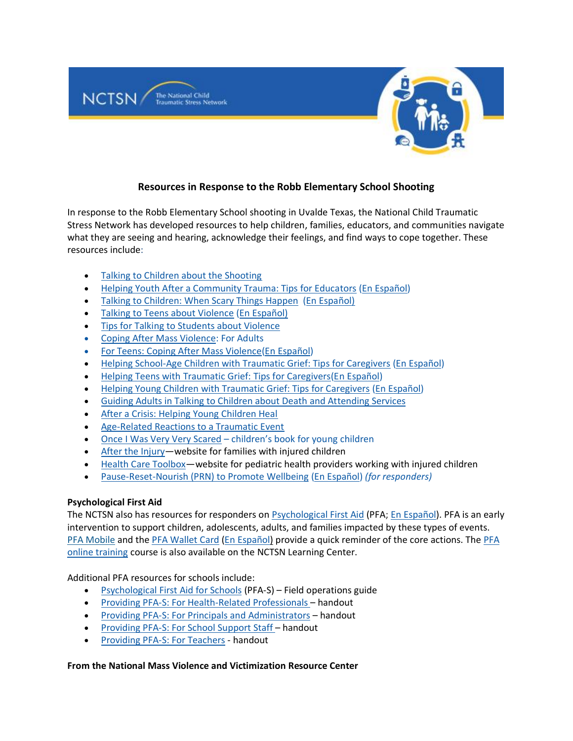

# **Resources in Response to the Robb Elementary School Shooting**

In response to the Robb Elementary School shooting in Uvalde Texas, the National Child Traumatic Stress Network has developed resources to help children, families, educators, and communities navigate what they are seeing and hearing, acknowledge their feelings, and find ways to cope together. These resources include:

- [Talking to Children about the Shooting](https://urldefense.com/v3/__https:/nam11.safelinks.protection.outlook.com/?url=https*3A*2F*2Furldefense.com*2Fv3*2F__https*3A*2Fnam11.safelinks.protection.outlook.com*2F*3Furl*3Dhttp*3A*2F*2Fwww.nctsn.org*2Fsites*2Fdefault*2Ffiles*2Fassets*2Fpdfs*2Ftalking_to_children_about_the_shooting.pdf*26data*3D04*7C01*7Cjames.henry*40wmich.edu*7C778118e4202c4e67efa608d9b44a0ee1*7C257622517aa94c72905f39bf026a8a84*7C0*7C0*7C637739052603849019*7CUnknown*7CTWFpbGZsb3d8eyJWIjoiMC4wLjAwMDAiLCJQIjoiV2luMzIiLCJBTiI6Ik1haWwiLCJXVCI6Mn0*3D*7C3000*26sdata*3Dyb*2B4M7JA2ncB2GgHEbB1sPFgspu5VPtUm6vBXs*2FVY2w*3D*26reserved*3D0__*3BJSUlJSUlJSUlJSUlJSUlJSUlJSUlJSUl!!F9wkZZsI-LA!S0ez0EkgYcoJQqCliLyWQGcPOIQilAz-QMZ3GihleehIPx3OI_orGZ1W6zQDQYB9ml1S*24&data=04*7C01*7Cjames.henry*40wmich.edu*7Cd211fee17b5e42b56c9708d9bc049985*7C257622517aa94c72905f39bf026a8a84*7C0*7C0*7C637747550359944141*7CUnknown*7CTWFpbGZsb3d8eyJWIjoiMC4wLjAwMDAiLCJQIjoiV2luMzIiLCJBTiI6Ik1haWwiLCJXVCI6Mn0*3D*7C3000&sdata=vVcC8wf14t2hxm6d*2BnDVmTR2oUodzsi4l5hnrIR2nOc*3D&reserved=0__;JSUlJSUlJSUlJSoqKioqKioqKiUlKioqKioqKioqKioqJSUqKiolJSUlJSUlJSUlJSUlJSUlJSU!!F9wkZZsI-LA!WLN-m7mcj34zxZ_vuGozR808BlN5tLgRjC4KShGKA5LpEZshoFC5ViPePI9l15vLreV4$)
- [Helping Youth After a Community Trauma: Tips for Educators](https://urldefense.com/v3/__https:/nam11.safelinks.protection.outlook.com/?url=https*3A*2F*2Furldefense.com*2Fv3*2F__https*3A*2Fnam11.safelinks.protection.outlook.com*2F*3Furl*3Dhttps*3A*2F*2Fwww.nctsn.org*2Fresources*2Fhelping-youth-after-community-trauma-tips-educators*26data*3D04*7C01*7Cjames.henry*40wmich.edu*7C778118e4202c4e67efa608d9b44a0ee1*7C257622517aa94c72905f39bf026a8a84*7C0*7C0*7C637739052603858978*7CUnknown*7CTWFpbGZsb3d8eyJWIjoiMC4wLjAwMDAiLCJQIjoiV2luMzIiLCJBTiI6Ik1haWwiLCJXVCI6Mn0*3D*7C3000*26sdata*3DmNcltU1dL1XaakucVA2*2BWj*2FiQiT5rfjld75ihNKTB14*3D*26reserved*3D0__*3BJSUlJSUlJSUlJSUlJSUlJSUlJSU!!F9wkZZsI-LA!S0ez0EkgYcoJQqCliLyWQGcPOIQilAz-QMZ3GihleehIPx3OI_orGZ1W6zQDQXBozk_E*24&data=04*7C01*7Cjames.henry*40wmich.edu*7Cd211fee17b5e42b56c9708d9bc049985*7C257622517aa94c72905f39bf026a8a84*7C0*7C0*7C637747550359944141*7CUnknown*7CTWFpbGZsb3d8eyJWIjoiMC4wLjAwMDAiLCJQIjoiV2luMzIiLCJBTiI6Ik1haWwiLCJXVCI6Mn0*3D*7C3000&sdata=2SZws6ZNQM49f5gLRYe30Xq7A6sDnTlWKdcHPwNivpo*3D&reserved=0__;JSUlJSUlJSUlJSoqKioqJSUqKioqKioqKioqKiolJSoqKiUlJSUlJSUlJSUlJSUlJSUl!!F9wkZZsI-LA!WLN-m7mcj34zxZ_vuGozR808BlN5tLgRjC4KShGKA5LpEZshoFC5ViPePI9l1we2zQhv$) [\(En Español\)](https://urldefense.com/v3/__https:/www.nctsn.org/resources/helping-youth-after-community-trauma-tips-educators-sp__;!!BWcElQ!zyH9n2L2L8rvlcRUAfKUHlxX-9gPTu37l5UdFpFCoylUgkChYIT--sPY823Q-7-hBFqg9QRmFS5S4CbdYMyxhtVqmNE$)
- [Talking to Children: When Scary Things Happen](https://urldefense.com/v3/__https:/drive.google.com/file/d/1Mc8dsD-AYBupNgXeI97BrVmKvoGWQrgw/view__;!!BWcElQ!zyH9n2L2L8rvlcRUAfKUHlxX-9gPTu37l5UdFpFCoylUgkChYIT--sPY823Q-7-hBFqg9QRmFS5S4CbdYMyxFiumIf4$) [\(En Español\)](https://urldefense.com/v3/__https:/drive.google.com/file/d/181pGktEIcnqxyRmQJuaBJ6d0Vjg5K-z6/view__;!!BWcElQ!zyH9n2L2L8rvlcRUAfKUHlxX-9gPTu37l5UdFpFCoylUgkChYIT--sPY823Q-7-hBFqg9QRmFS5S4CbdYMyxTHQWr-E$)
- [Talking to Teens about Violence](https://urldefense.com/v3/__https:/drive.google.com/file/d/1fnP6HTUyJO-sdRJ0bgYJ6V8UrSIWTjJv/view__;!!BWcElQ!zyH9n2L2L8rvlcRUAfKUHlxX-9gPTu37l5UdFpFCoylUgkChYIT--sPY823Q-7-hBFqg9QRmFS5S4CbdYMyxCtLRvic$) [\(En Español\)](https://urldefense.com/v3/__https:/ibsweb.colorado.edu/crw/wp-content/uploads/sites/7/2021/04/CRWS_Spanish_Talking-to-Teens_Violent-Events.pdf__;!!BWcElQ!zyH9n2L2L8rvlcRUAfKUHlxX-9gPTu37l5UdFpFCoylUgkChYIT--sPY823Q-7-hBFqg9QRmFS5S4CbdYMyxmoX6-pw$)
- [Tips for Talking to Students about Violence](https://urldefense.com/v3/__https:/drive.google.com/file/d/1DO7aqM23ad4Q5wWZyHR1ghFscQtWdALZ/view__;!!BWcElQ!zyH9n2L2L8rvlcRUAfKUHlxX-9gPTu37l5UdFpFCoylUgkChYIT--sPY823Q-7-hBFqg9QRmFS5S4CbdYMyxrWF7Puk$)
- [Coping After Mass Violence:](https://urldefense.com/v3/__https:/nam12.safelinks.protection.outlook.com/?url=https*3A*2F*2Fwww.nctsn.org*2Fresources*2Fcoping-after-mass-violence&data=05*7C01*7Cmsommerville*40bestselfwny.org*7C9cc7b3a66ee1407b93cd08da384060f6*7C5fde4e13381544908af9179c523986a4*7C0*7C0*7C637884147173072305*7CUnknown*7CTWFpbGZsb3d8eyJWIjoiMC4wLjAwMDAiLCJQIjoiV2luMzIiLCJBTiI6Ik1haWwiLCJXVCI6Mn0*3D*7C3000*7C*7C*7C&sdata=TuXvdiCTQsw7noOO1y0m13M4xmu9K2pYNAnmRejFQaY*3D&reserved=0__;JSUlJSUlJSUlJSUlJSUlJSUlJSUl!!F9wkZZsI-LA!DvCYO2OfdJmlrFhVf6w3GdstfuUP-Cklkd8EVz5hJEkymxQ9x6lDGR76_lpaCGtN6slPBMX2a35VF5Toy6yGMQiqZUs4xbGPJQ$) For Adults
- [For Teens: Coping After Mass Violence](https://urldefense.com/v3/__https:/nam12.safelinks.protection.outlook.com/?url=https*3A*2F*2Fwww.nctsn.org*2Fsites*2Fdefault*2Ffiles*2Fresources*2Ffact-sheet*2Ffor_teens_coping_after_mass_violence.pdf&data=05*7C01*7Cmsommerville*40bestselfwny.org*7C9cc7b3a66ee1407b93cd08da384060f6*7C5fde4e13381544908af9179c523986a4*7C0*7C0*7C637884147173072305*7CUnknown*7CTWFpbGZsb3d8eyJWIjoiMC4wLjAwMDAiLCJQIjoiV2luMzIiLCJBTiI6Ik1haWwiLCJXVCI6Mn0*3D*7C3000*7C*7C*7C&sdata=gToiz4ZLD*2BiD*2FsLKbmX5N0jp5MRToKjSiqTU6o05utI*3D&reserved=0__;JSUlJSUlJSUlJSUlJSUlJSUlJSUlJSUlJSUl!!F9wkZZsI-LA!DvCYO2OfdJmlrFhVf6w3GdstfuUP-Cklkd8EVz5hJEkymxQ9x6lDGR76_lpaCGtN6slPBMX2a35VF5Toy6yGMQiqZUvy23uhjQ$)[\(En Español\)](https://urldefense.com/v3/__https:/nam12.safelinks.protection.outlook.com/?url=https*3A*2F*2Fwww.nctsn.org*2Fresources*2Ffor-teens-coping-after-mass-violence-sp&data=05*7C01*7Cmsommerville*40bestselfwny.org*7C9cc7b3a66ee1407b93cd08da384060f6*7C5fde4e13381544908af9179c523986a4*7C0*7C0*7C637884147173072305*7CUnknown*7CTWFpbGZsb3d8eyJWIjoiMC4wLjAwMDAiLCJQIjoiV2luMzIiLCJBTiI6Ik1haWwiLCJXVCI6Mn0*3D*7C3000*7C*7C*7C&sdata=sMS9wPkteyHjOSvAzs0p2pjBTX0UKNb04mP4vUPfP2g*3D&reserved=0__;JSUlJSUlJSUlJSUlJSUlJSUlJSUl!!F9wkZZsI-LA!DvCYO2OfdJmlrFhVf6w3GdstfuUP-Cklkd8EVz5hJEkymxQ9x6lDGR76_lpaCGtN6slPBMX2a35VF5Toy6yGMQiqZUugOTKsJw$)
- [Helping School-Age Children with Traumatic Grief: Tips for Caregivers](https://urldefense.com/v3/__https:/nam11.safelinks.protection.outlook.com/?url=https*3A*2F*2Furldefense.com*2Fv3*2F__https*3A*2Fnam11.safelinks.protection.outlook.com*2F*3Furl*3Dhttps*3A*2F*2Fwww.nctsn.org*2Fresources*2Fhelping-school-age-children-traumatic-grief-tips-caregivers*26data*3D04*7C01*7Cjames.henry*40wmich.edu*7C778118e4202c4e67efa608d9b44a0ee1*7C257622517aa94c72905f39bf026a8a84*7C0*7C0*7C637739052603868934*7CUnknown*7CTWFpbGZsb3d8eyJWIjoiMC4wLjAwMDAiLCJQIjoiV2luMzIiLCJBTiI6Ik1haWwiLCJXVCI6Mn0*3D*7C3000*26sdata*3Dfg3WJyHF5fNqJc9QGrBUXFxPqcvieTxPTynNbIe8NX8*3D*26reserved*3D0__*3BJSUlJSUlJSUlJSUlJSUlJSUl!!F9wkZZsI-LA!S0ez0EkgYcoJQqCliLyWQGcPOIQilAz-QMZ3GihleehIPx3OI_orGZ1W6zQDQdED9yiS*24&data=04*7C01*7Cjames.henry*40wmich.edu*7Cd211fee17b5e42b56c9708d9bc049985*7C257622517aa94c72905f39bf026a8a84*7C0*7C0*7C637747550359944141*7CUnknown*7CTWFpbGZsb3d8eyJWIjoiMC4wLjAwMDAiLCJQIjoiV2luMzIiLCJBTiI6Ik1haWwiLCJXVCI6Mn0*3D*7C3000&sdata=HW2f3xvaPdZTnj*2BFrGwd9ppIIRwSxFWa2R5UGiduMdA*3D&reserved=0__;JSUlJSUlJSUlJSoqKioqJSUqKioqKioqKioqKiolJSolJSUlJSUlJSUlJSUlJSUlJSU!!F9wkZZsI-LA!WLN-m7mcj34zxZ_vuGozR808BlN5tLgRjC4KShGKA5LpEZshoFC5ViPePI9l1xz66sbk$) [\(En Español\)](https://urldefense.com/v3/__https:/www.nctsn.org/resources/helping-school-age-children-traumatic-grief-tips-caregivers-sp__;!!BWcElQ!zyH9n2L2L8rvlcRUAfKUHlxX-9gPTu37l5UdFpFCoylUgkChYIT--sPY823Q-7-hBFqg9QRmFS5S4CbdYMyxErVRiKo$)
- [Helping Teens with Traumatic Grief: Tips for Caregivers\(](https://urldefense.com/v3/__https:/nam11.safelinks.protection.outlook.com/?url=https*3A*2F*2Furldefense.com*2Fv3*2F__https*3A*2Fnam11.safelinks.protection.outlook.com*2F*3Furl*3Dhttps*3A*2F*2Fwww.nctsn.org*2Fresources*2Fhelping-teens-traumatic-grief-tips-caregivers*26data*3D04*7C01*7Cjames.henry*40wmich.edu*7C778118e4202c4e67efa608d9b44a0ee1*7C257622517aa94c72905f39bf026a8a84*7C0*7C0*7C637739052603858978*7CUnknown*7CTWFpbGZsb3d8eyJWIjoiMC4wLjAwMDAiLCJQIjoiV2luMzIiLCJBTiI6Ik1haWwiLCJXVCI6Mn0*3D*7C3000*26sdata*3DFolYCzlhYQScOaNc3TL4ETkm9KZ7YiukUDm9*2F*2FwFxms*3D*26reserved*3D0__*3BJSUlJSUlJSUlJSUlJSUlJSUlJSU!!F9wkZZsI-LA!S0ez0EkgYcoJQqCliLyWQGcPOIQilAz-QMZ3GihleehIPx3OI_orGZ1W6zQDQTb9_diS*24&data=04*7C01*7Cjames.henry*40wmich.edu*7Cd211fee17b5e42b56c9708d9bc049985*7C257622517aa94c72905f39bf026a8a84*7C0*7C0*7C637747550359944141*7CUnknown*7CTWFpbGZsb3d8eyJWIjoiMC4wLjAwMDAiLCJQIjoiV2luMzIiLCJBTiI6Ik1haWwiLCJXVCI6Mn0*3D*7C3000&sdata=SSEhfmZ6QqA3sKJsndMK*2Bd2dvt1vZu3llSK*2BMAxplL4*3D&reserved=0__;JSUlJSUlJSUlJSoqKioqJSUqKioqKioqKioqKiolJSoqKiUlJSUlJSUlJSUlJSUlJSUlJSU!!F9wkZZsI-LA!WLN-m7mcj34zxZ_vuGozR808BlN5tLgRjC4KShGKA5LpEZshoFC5ViPePI9l12YbIfJJ$)[En Español\)](https://urldefense.com/v3/__https:/www.nctsn.org/sites/default/files/resources/tip-sheet/helping-teens-with-traumatic-grief-for-caregivers-sp.pdf__;!!BWcElQ!zyH9n2L2L8rvlcRUAfKUHlxX-9gPTu37l5UdFpFCoylUgkChYIT--sPY823Q-7-hBFqg9QRmFS5S4CbdYMyx4VYJCzA$)
- [Helping Young Children with Traumatic Grief: Tips for Caregivers](https://urldefense.com/v3/__https:/nam11.safelinks.protection.outlook.com/?url=https*3A*2F*2Furldefense.com*2Fv3*2F__https*3A*2Fnam11.safelinks.protection.outlook.com*2F*3Furl*3Dhttps*3A*2F*2Fwww.nctsn.org*2Fresources*2Fhelping-young-children-traumatic-grief-tips-caregivers*26data*3D04*7C01*7Cjames.henry*40wmich.edu*7C778118e4202c4e67efa608d9b44a0ee1*7C257622517aa94c72905f39bf026a8a84*7C0*7C0*7C637739052603868934*7CUnknown*7CTWFpbGZsb3d8eyJWIjoiMC4wLjAwMDAiLCJQIjoiV2luMzIiLCJBTiI6Ik1haWwiLCJXVCI6Mn0*3D*7C3000*26sdata*3Dw0elNUIRxgQ6jnZcmTB9hMxipKDxQ9UV4DPaa0fwWxw*3D*26reserved*3D0__*3BJSUlJSUlJSUlJSUlJSUlJSUl!!F9wkZZsI-LA!S0ez0EkgYcoJQqCliLyWQGcPOIQilAz-QMZ3GihleehIPx3OI_orGZ1W6zQDQaSVV8lj*24&data=04*7C01*7Cjames.henry*40wmich.edu*7Cd211fee17b5e42b56c9708d9bc049985*7C257622517aa94c72905f39bf026a8a84*7C0*7C0*7C637747550359944141*7CUnknown*7CTWFpbGZsb3d8eyJWIjoiMC4wLjAwMDAiLCJQIjoiV2luMzIiLCJBTiI6Ik1haWwiLCJXVCI6Mn0*3D*7C3000&sdata=M97KpznXEkhD6wJYOEqelNXJp2*2BIqX6u4C*2FlaePgmPk*3D&reserved=0__;JSUlJSUlJSUlJSoqKioqJSUqKioqKioqKioqKiolJSolJSUlJSUlJSUlJSUlJSUlJSUl!!F9wkZZsI-LA!WLN-m7mcj34zxZ_vuGozR808BlN5tLgRjC4KShGKA5LpEZshoFC5ViPePI9l18b6ChQl$) [\(En Español\)](https://urldefense.com/v3/__https:/www.nctsn.org/resources/helping-young-children-traumatic-grief-tips-caregivers-sp__;!!BWcElQ!zyH9n2L2L8rvlcRUAfKUHlxX-9gPTu37l5UdFpFCoylUgkChYIT--sPY823Q-7-hBFqg9QRmFS5S4CbdYMyxNVd2og4$)
- [Guiding Adults in Talking to Children about Death](https://urldefense.com/v3/__https:/www.nctsn.org/resources/guiding-adults-talking-children-about-death-and-attending-services__;!!BWcElQ!zyH9n2L2L8rvlcRUAfKUHlxX-9gPTu37l5UdFpFCoylUgkChYIT--sPY823Q-7-hBFqg9QRmFS5S4CbdYMyxEfhJsXk$) and Attending Services
- [After a Crisis: Helping Young Children Heal](https://urldefense.com/v3/__https:/www.nctsn.org/resources/after-crisis-helping-young-children-heal__;!!BWcElQ!zyH9n2L2L8rvlcRUAfKUHlxX-9gPTu37l5UdFpFCoylUgkChYIT--sPY823Q-7-hBFqg9QRmFS5S4CbdYMyxuKQFNlE$)
- [Age-Related Reactions to a Traumatic Event](https://urldefense.com/v3/__https:/www.nctsn.org/resources/age-related-reactions-traumatic-event__;!!BWcElQ!zyH9n2L2L8rvlcRUAfKUHlxX-9gPTu37l5UdFpFCoylUgkChYIT--sPY823Q-7-hBFqg9QRmFS5S4CbdYMyxZr0eaSs$)
- [Once I Was Very Very Scared](https://urldefense.com/v3/__https:/piploproductions.com/stories/once/__;!!BWcElQ!zyH9n2L2L8rvlcRUAfKUHlxX-9gPTu37l5UdFpFCoylUgkChYIT--sPY823Q-7-hBFqg9QRmFS5S4CbdYMyxN15JZLM$) children's book for young children
- [After the Injury](https://urldefense.com/v3/__https:/nam11.safelinks.protection.outlook.com/?url=https*3A*2F*2Furldefense.com*2Fv3*2F__https*3A*2Fnam11.safelinks.protection.outlook.com*2F*3Furl*3Dhttps*3A*2F*2Furldefense.proofpoint.com*2Fv2*2Furl*3Fu*3Dhttps-3A__www.aftertheinjury.org_*26d*3DDwMFAg*26c*3DUXmaowRpu5bLSLEQRunJ2z-YIUZuUoa9Rw_x449Hd_Y*26r*3DhzomOGg2G27ZjuZegYWWfu4EgrpiGCT_JunBM07Lj7Q*26m*3DvyKoXFUQ-CzUQsUEsU_VwEifMStVNuB6XZZtDuIDrTY*26s*3DOxewveOLl5qhWnb0E6kxhePnmq9kv3YDkXSNS7AIfDU*26e*3D*26data*3D04*7C01*7Cjames.henry*40wmich.edu*7C778118e4202c4e67efa608d9b44a0ee1*7C257622517aa94c72905f39bf026a8a84*7C0*7C0*7C637739052603878891*7CUnknown*7CTWFpbGZsb3d8eyJWIjoiMC4wLjAwMDAiLCJQIjoiV2luMzIiLCJBTiI6Ik1haWwiLCJXVCI6Mn0*3D*7C3000*26sdata*3Dk7Oc1SjtH8MpjiYYO0XX7hQ8OWJsqoJI23uaKig0BGA*3D*26reserved*3D0__*3BJSUlJSUlJSUlJSUlJSUlJSUlJSUlJSUlJSUlJSUlJSU!!F9wkZZsI-LA!S0ez0EkgYcoJQqCliLyWQGcPOIQilAz-QMZ3GihleehIPx3OI_orGZ1W6zQDQZCqRGua*24&data=04*7C01*7Cjames.henry*40wmich.edu*7Cd211fee17b5e42b56c9708d9bc049985*7C257622517aa94c72905f39bf026a8a84*7C0*7C0*7C637747550359944141*7CUnknown*7CTWFpbGZsb3d8eyJWIjoiMC4wLjAwMDAiLCJQIjoiV2luMzIiLCJBTiI6Ik1haWwiLCJXVCI6Mn0*3D*7C3000&sdata=keA0XubrL0Gx8YvMHuFK*2B6YBjkVZQ6K7MOgmRZIXfAA*3D&reserved=0__;JSUlJSUlJSUlJSoqKioqKioqKioqKioqKioqKiolJSoqKioqKioqKioqKiUlKiUlJSUlJSUlJSUlJSUlJSUlJQ!!F9wkZZsI-LA!WLN-m7mcj34zxZ_vuGozR808BlN5tLgRjC4KShGKA5LpEZshoFC5ViPePI9l188KlwQW$)—website for families with injured children
- [Health Care Toolbox](https://urldefense.com/v3/__https:/nam11.safelinks.protection.outlook.com/?url=https*3A*2F*2Furldefense.com*2Fv3*2F__https*3A*2Fnam11.safelinks.protection.outlook.com*2F*3Furl*3Dhttps*3A*2F*2Furldefense.proofpoint.com*2Fv2*2Furl*3Fu*3Dhttps-3A__www.healthcaretoolbox.org_*26d*3DDwMFAg*26c*3DUXmaowRpu5bLSLEQRunJ2z-YIUZuUoa9Rw_x449Hd_Y*26r*3DhzomOGg2G27ZjuZegYWWfu4EgrpiGCT_JunBM07Lj7Q*26m*3DvyKoXFUQ-CzUQsUEsU_VwEifMStVNuB6XZZtDuIDrTY*26s*3DTo4qpM_pSNMYr-2Wu8Yq6yEKrS7FOZCM4Pxiq5SgFuM*26e*3D*26data*3D04*7C01*7Cjames.henry*40wmich.edu*7C778118e4202c4e67efa608d9b44a0ee1*7C257622517aa94c72905f39bf026a8a84*7C0*7C0*7C637739052603888848*7CUnknown*7CTWFpbGZsb3d8eyJWIjoiMC4wLjAwMDAiLCJQIjoiV2luMzIiLCJBTiI6Ik1haWwiLCJXVCI6Mn0*3D*7C3000*26sdata*3DcrKZkT*2F9xlBsfqipiaAAAT6h6ETKg8LZGnngZQtQWck*3D*26reserved*3D0__*3BJSUlJSUlJSUlJSUlJSUlJSUlJSUlJSUlJSUlJSUlJSUl!!F9wkZZsI-LA!S0ez0EkgYcoJQqCliLyWQGcPOIQilAz-QMZ3GihleehIPx3OI_orGZ1W6zQDQVeOEJCl*24&data=04*7C01*7Cjames.henry*40wmich.edu*7Cd211fee17b5e42b56c9708d9bc049985*7C257622517aa94c72905f39bf026a8a84*7C0*7C0*7C637747550359944141*7CUnknown*7CTWFpbGZsb3d8eyJWIjoiMC4wLjAwMDAiLCJQIjoiV2luMzIiLCJBTiI6Ik1haWwiLCJXVCI6Mn0*3D*7C3000&sdata=wAETX0H4b3mVzpMM5Dl109Y5j8CFpVNKG*2FKPGl2Yqtw*3D&reserved=0__;JSUlJSUlJSUlJSoqKioqKioqKioqKioqKioqKiolJSoqKioqKioqKioqKiUlKiolJSUlJSUlJSUlJSUlJSUlJSU!!F9wkZZsI-LA!WLN-m7mcj34zxZ_vuGozR808BlN5tLgRjC4KShGKA5LpEZshoFC5ViPePI9l13B9jNuo$)—website for pediatric health providers working with injured children
- [Pause-Reset-Nourish \(PRN\) to Promote Wellbeing](https://urldefense.com/v3/__https:/www.nctsn.org/resources/pause-reset-nourish-to-promote-wellbeing-use-as-needed-to-care-for-your-wellness__;!!BWcElQ!zyH9n2L2L8rvlcRUAfKUHlxX-9gPTu37l5UdFpFCoylUgkChYIT--sPY823Q-7-hBFqg9QRmFS5S4CbdYMyxg4_g4Jw$) [\(En Español\)](https://urldefense.com/v3/__https:/www.nctsn.org/resources/prn-to-promote-wellbeing-as-needed-to-care-for-your-wellness-sp__;!!BWcElQ!zyH9n2L2L8rvlcRUAfKUHlxX-9gPTu37l5UdFpFCoylUgkChYIT--sPY823Q-7-hBFqg9QRmFS5S4CbdYMyxIr2rMl0$) *(for responders)*

# **Psychological First Aid**

The NCTSN also has resources for responders o[n Psychological First Aid](https://urldefense.com/v3/__https:/www.nctsn.org/resources/psychological-first-aid-pfa-field-operations-guide-2nd-edition__;!!F9wkZZsI-LA!SIUd2q2njiJ43vJbtUGCEzLFZoCI14Jsv1upSAIdkNbS-wUig4YMKjsW27WviG5a6caP$) (PFA; En [Español\)](https://urldefense.com/v3/__https:/www.nctsn.org/resources/primeros-auxilios-psicologicos-guia-de-operaciones-practicas-2da-edicion__;!!F9wkZZsI-LA!SIUd2q2njiJ43vJbtUGCEzLFZoCI14Jsv1upSAIdkNbS-wUig4YMKjsW27WviGtpkaxs$). PFA is an early intervention to support children, adolescents, adults, and families impacted by these types of events. [PFA Mobile](https://urldefense.com/v3/__https:/www.nctsn.org/resources/pfa-mobile__;!!BWcElQ!zyH9n2L2L8rvlcRUAfKUHlxX-9gPTu37l5UdFpFCoylUgkChYIT--sPY823Q-7-hBFqg9QRmFS5S4CbdYMyxqKg-lUs$) and the [PFA Wallet Card](https://urldefense.com/v3/__https:/www.nctsn.org/resources/psychological-first-aid-pfa-wallet-card__;!!F9wkZZsI-LA!SIUd2q2njiJ43vJbtUGCEzLFZoCI14Jsv1upSAIdkNbS-wUig4YMKjsW27WviLYN40Vn$) [\(En Español\)](https://urldefense.com/v3/__https:/www.nctsn.org/resources/psychological-first-aid-pfa-wallet-card-sp__;!!F9wkZZsI-LA!SIUd2q2njiJ43vJbtUGCEzLFZoCI14Jsv1upSAIdkNbS-wUig4YMKjsW27WviHEcE2bq$) provide a quick reminder of the core actions. The PFA [online training](https://urldefense.com/v3/__https:/www.nctsn.org/resources/psychological-first-aid-pfa-online__;!!BWcElQ!zyH9n2L2L8rvlcRUAfKUHlxX-9gPTu37l5UdFpFCoylUgkChYIT--sPY823Q-7-hBFqg9QRmFS5S4CbdYMyxI-C2lZA$) course is also available on the NCTSN Learning Center.

Additional PFA resources for schools include:

- [Psychological](https://urldefense.com/v3/__https:/nam11.safelinks.protection.outlook.com/?url=https*3A*2F*2Furldefense.com*2Fv3*2F__https*3A*2Fnam11.safelinks.protection.outlook.com*2F*3Furl*3Dhttp*3A*2F*2Fwww.nctsn.org*2Fcontent*2Fpsychological-first-aid-schoolspfa*26data*3D04*7C01*7Cjames.henry*40wmich.edu*7C778118e4202c4e67efa608d9b44a0ee1*7C257622517aa94c72905f39bf026a8a84*7C0*7C0*7C637739052603908760*7CUnknown*7CTWFpbGZsb3d8eyJWIjoiMC4wLjAwMDAiLCJQIjoiV2luMzIiLCJBTiI6Ik1haWwiLCJXVCI6Mn0*3D*7C3000*26sdata*3DqzPtH8U74mBqWBNCU*2BHXsqi6zCw2lmBfuCJXIpVEwSQ*3D*26reserved*3D0__*3BJSUlJSUlJSUlJSUlJSUlJSUlJQ!!F9wkZZsI-LA!S0ez0EkgYcoJQqCliLyWQGcPOIQilAz-QMZ3GihleehIPx3OI_orGZ1W6zQDQfNqRFKn*24&data=04*7C01*7Cjames.henry*40wmich.edu*7Cd211fee17b5e42b56c9708d9bc049985*7C257622517aa94c72905f39bf026a8a84*7C0*7C0*7C637747550359944141*7CUnknown*7CTWFpbGZsb3d8eyJWIjoiMC4wLjAwMDAiLCJQIjoiV2luMzIiLCJBTiI6Ik1haWwiLCJXVCI6Mn0*3D*7C3000&sdata=ZJnW1S0ziBkDC68GBYD3bmwZSLasrauLiV7YbReCf0c*3D&reserved=0__;JSUlJSUlJSUlJSoqKioqJSUqKioqKioqKioqKiolJSoqJSUlJSUlJSUlJSUlJSUlJSU!!F9wkZZsI-LA!WLN-m7mcj34zxZ_vuGozR808BlN5tLgRjC4KShGKA5LpEZshoFC5ViPePI9l17IpUmQw$) First Aid for Schools (PFA-S) Field operations guide
- Providing PFA-S: For [Health-Related](https://urldefense.com/v3/__https:/nam11.safelinks.protection.outlook.com/?url=https*3A*2F*2Furldefense.com*2Fv3*2F__https*3A*2Fnam11.safelinks.protection.outlook.com*2F*3Furl*3Dhttps*3A*2F*2Fwww.nctsn.org*2Fresources*2Fproviding-psychological-first-aid-health-related-professionals*26data*3D04*7C01*7Cjames.henry*40wmich.edu*7C778118e4202c4e67efa608d9b44a0ee1*7C257622517aa94c72905f39bf026a8a84*7C0*7C0*7C637739052603908760*7CUnknown*7CTWFpbGZsb3d8eyJWIjoiMC4wLjAwMDAiLCJQIjoiV2luMzIiLCJBTiI6Ik1haWwiLCJXVCI6Mn0*3D*7C3000*26sdata*3DXb94mLfiTsjo*2BjWn9qT6w4HeP0XxZo1HHfDnZ5PJARg*3D*26reserved*3D0__*3BJSUlJSUlJSUlJSUlJSUlJSUlJQ!!F9wkZZsI-LA!S0ez0EkgYcoJQqCliLyWQGcPOIQilAz-QMZ3GihleehIPx3OI_orGZ1W6zQDQTKAt8_p*24&data=04*7C01*7Cjames.henry*40wmich.edu*7Cd211fee17b5e42b56c9708d9bc049985*7C257622517aa94c72905f39bf026a8a84*7C0*7C0*7C637747550359944141*7CUnknown*7CTWFpbGZsb3d8eyJWIjoiMC4wLjAwMDAiLCJQIjoiV2luMzIiLCJBTiI6Ik1haWwiLCJXVCI6Mn0*3D*7C3000&sdata=ErbDIAEleftoDIzwD67Z*2BcD6oIO3GRJWNgxEuf3nUqI*3D&reserved=0__;JSUlJSUlJSUlJSoqKioqJSUqKioqKioqKioqKiolJSoqJSUlJSUlJSUlJSUlJSUlJSUl!!F9wkZZsI-LA!WLN-m7mcj34zxZ_vuGozR808BlN5tLgRjC4KShGKA5LpEZshoFC5ViPePI9l15gXwu7N$) Professionals handout
- Providing PFA-S: For Principals and [Administrators](https://urldefense.com/v3/__https:/nam11.safelinks.protection.outlook.com/?url=https*3A*2F*2Furldefense.com*2Fv3*2F__https*3A*2Fnam11.safelinks.protection.outlook.com*2F*3Furl*3Dhttps*3A*2F*2Fwww.nctsn.org*2Fresources*2Fproviding-psychological-first-aid-principals-and-administrators*26data*3D04*7C01*7Cjames.henry*40wmich.edu*7C778118e4202c4e67efa608d9b44a0ee1*7C257622517aa94c72905f39bf026a8a84*7C0*7C0*7C637739052603918719*7CUnknown*7CTWFpbGZsb3d8eyJWIjoiMC4wLjAwMDAiLCJQIjoiV2luMzIiLCJBTiI6Ik1haWwiLCJXVCI6Mn0*3D*7C3000*26sdata*3D91S0rYhwnRrweA8*2B*2Bjy9s*2FP8uvFukdtcpHlDatyaahI*3D*26reserved*3D0__*3BJSUlJSUlJSUlJSUlJSUlJSUlJSUl!!F9wkZZsI-LA!S0ez0EkgYcoJQqCliLyWQGcPOIQilAz-QMZ3GihleehIPx3OI_orGZ1W6zQDQbmHGbQh*24&data=04*7C01*7Cjames.henry*40wmich.edu*7Cd211fee17b5e42b56c9708d9bc049985*7C257622517aa94c72905f39bf026a8a84*7C0*7C0*7C637747550359944141*7CUnknown*7CTWFpbGZsb3d8eyJWIjoiMC4wLjAwMDAiLCJQIjoiV2luMzIiLCJBTiI6Ik1haWwiLCJXVCI6Mn0*3D*7C3000&sdata=X2sZUiDuRiI5w6Iw9x40MbjnuSMQESyfBB4vz1hJcSY*3D&reserved=0__;JSUlJSUlJSUlJSoqKioqJSUqKioqKioqKioqKiolJSoqKiolJSUlJSUlJSUlJSUlJSUlJQ!!F9wkZZsI-LA!WLN-m7mcj34zxZ_vuGozR808BlN5tLgRjC4KShGKA5LpEZshoFC5ViPePI9l1_LwA0fb$) handout
- [Providing](https://urldefense.com/v3/__https:/nam11.safelinks.protection.outlook.com/?url=https*3A*2F*2Furldefense.com*2Fv3*2F__https*3A*2Fnam11.safelinks.protection.outlook.com*2F*3Furl*3Dhttps*3A*2F*2Fwww.nctsn.org*2Fresources*2Fproviding-psychological-first-aid-support-staff*26data*3D04*7C01*7Cjames.henry*40wmich.edu*7C778118e4202c4e67efa608d9b44a0ee1*7C257622517aa94c72905f39bf026a8a84*7C0*7C0*7C637739052603928673*7CUnknown*7CTWFpbGZsb3d8eyJWIjoiMC4wLjAwMDAiLCJQIjoiV2luMzIiLCJBTiI6Ik1haWwiLCJXVCI6Mn0*3D*7C3000*26sdata*3DFkjggCfxFvBHkgTR3w*2FInBCpC2FMJwCsKkm*2BvF6p8mE*3D*26reserved*3D0__*3BJSUlJSUlJSUlJSUlJSUlJSUlJSU!!F9wkZZsI-LA!S0ez0EkgYcoJQqCliLyWQGcPOIQilAz-QMZ3GihleehIPx3OI_orGZ1W6zQDQSQowxwT*24&data=04*7C01*7Cjames.henry*40wmich.edu*7Cd211fee17b5e42b56c9708d9bc049985*7C257622517aa94c72905f39bf026a8a84*7C0*7C0*7C637747550359944141*7CUnknown*7CTWFpbGZsb3d8eyJWIjoiMC4wLjAwMDAiLCJQIjoiV2luMzIiLCJBTiI6Ik1haWwiLCJXVCI6Mn0*3D*7C3000&sdata=DLEQtTUItpmnwU1nz85Z5plV*2Fy0zNDAVNFACBHXp0x0*3D&reserved=0__;JSUlJSUlJSUlJSoqKioqJSUqKioqKioqKioqKiolJSoqKiUlJSUlJSUlJSUlJSUlJSUlJQ!!F9wkZZsI-LA!WLN-m7mcj34zxZ_vuGozR808BlN5tLgRjC4KShGKA5LpEZshoFC5ViPePI9l13eTJsuR$) PFA-S: For School Support Staff handout
- [Providing](https://urldefense.com/v3/__https:/nam11.safelinks.protection.outlook.com/?url=https*3A*2F*2Furldefense.com*2Fv3*2F__https*3A*2Fnam11.safelinks.protection.outlook.com*2F*3Furl*3Dhttps*3A*2F*2Fwww.nctsn.org*2Fresources*2Fproviding-psychological-first-aid-teachers*26data*3D04*7C01*7Cjames.henry*40wmich.edu*7C778118e4202c4e67efa608d9b44a0ee1*7C257622517aa94c72905f39bf026a8a84*7C0*7C0*7C637739052603928673*7CUnknown*7CTWFpbGZsb3d8eyJWIjoiMC4wLjAwMDAiLCJQIjoiV2luMzIiLCJBTiI6Ik1haWwiLCJXVCI6Mn0*3D*7C3000*26sdata*3D0BsljnmD5p3MoIveW126DL*2FlPNo5GMexrWZLH*2FPctm8*3D*26reserved*3D0__*3BJSUlJSUlJSUlJSUlJSUlJSUlJSU!!F9wkZZsI-LA!S0ez0EkgYcoJQqCliLyWQGcPOIQilAz-QMZ3GihleehIPx3OI_orGZ1W6zQDQWzGUJQL*24&data=04*7C01*7Cjames.henry*40wmich.edu*7Cd211fee17b5e42b56c9708d9bc049985*7C257622517aa94c72905f39bf026a8a84*7C0*7C0*7C637747550359944141*7CUnknown*7CTWFpbGZsb3d8eyJWIjoiMC4wLjAwMDAiLCJQIjoiV2luMzIiLCJBTiI6Ik1haWwiLCJXVCI6Mn0*3D*7C3000&sdata=5Z7iGV2DtfswZjEi7RGkIUgchUgtLpIp6T46FPFI8yA*3D&reserved=0__;JSUlJSUlJSUlJSoqKioqJSUqKioqKioqKioqKiolJSoqKiUlJSUlJSUlJSUlJSUlJSUl!!F9wkZZsI-LA!WLN-m7mcj34zxZ_vuGozR808BlN5tLgRjC4KShGKA5LpEZshoFC5ViPePI9l16UVQ7yl$) PFA-S: For Teachers handout

# **From the National Mass Violence and Victimization Resource Center**